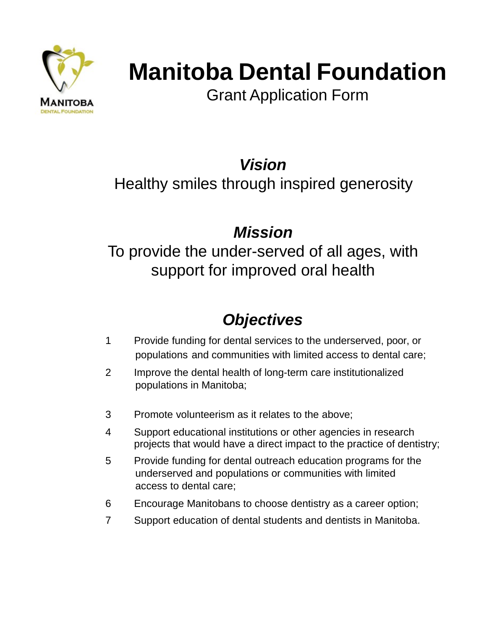

# **Manitoba Dental Foundation**

Grant Application Form

*Vision*

Healthy smiles through inspired generosity

### *Mission*

To provide the under-served of all ages, with support for improved oral health

## *Objectives*

- 1 Provide funding for dental services to the underserved, poor, or populations and communities with limited access to dental care;
- 2 Improve the dental health of long-term care institutionalized populations in Manitoba;
- 3 Promote volunteerism as it relates to the above;
- 4 Support educational institutions or other agencies in research projects that would have a direct impact to the practice of dentistry;
- 5 Provide funding for dental outreach education programs for the underserved and populations or communities with limited access to dental care;
- 6 Encourage Manitobans to choose dentistry as a career option;
- 7 Support education of dental students and dentists in Manitoba.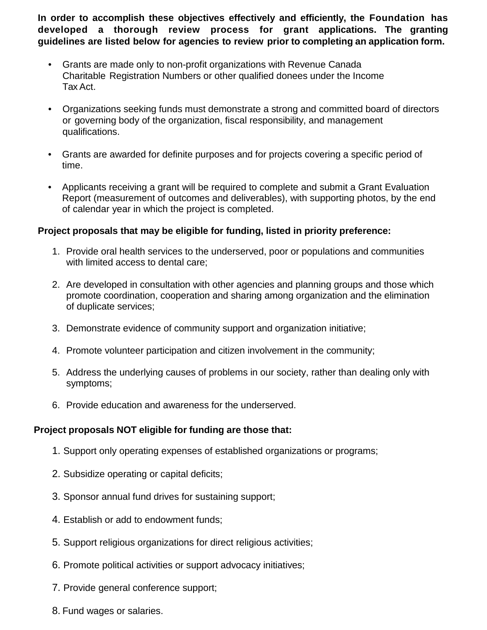**In order to accomplish these objectives effectively and efficiently, the Foundation has developed a thorough review process for grant applications. The granting guidelines are listed below for agencies to review prior to completing an application form.**

- Grants are made only to non-profit organizations with Revenue Canada Charitable Registration Numbers or other qualified donees under the Income Tax Act.
- Organizations seeking funds must demonstrate a strong and committed board of directors or governing body of the organization, fiscal responsibility, and management qualifications.
- Grants are awarded for definite purposes and for projects covering a specific period of time.
- Applicants receiving a grant will be required to complete and submit a Grant Evaluation Report (measurement of outcomes and deliverables), with supporting photos, by the end of calendar year in which the project is completed.

#### **Project proposals that may be eligible for funding, listed in priority preference:**

- 1. Provide oral health services to the underserved, poor or populations and communities with limited access to dental care;
- 2. Are developed in consultation with other agencies and planning groups and those which promote coordination, cooperation and sharing among organization and the elimination of duplicate services;
- 3. Demonstrate evidence of community support and organization initiative;
- 4. Promote volunteer participation and citizen involvement in the community;
- 5. Address the underlying causes of problems in our society, rather than dealing only with symptoms;
- 6. Provide education and awareness for the underserved.

#### **Project proposals NOT eligible for funding are those that:**

- 1. Support only operating expenses of established organizations or programs;
- 2. Subsidize operating or capital deficits;
- 3. Sponsor annual fund drives for sustaining support;
- 4. Establish or add to endowment funds;
- 5. Support religious organizations for direct religious activities;
- 6. Promote political activities or support advocacy initiatives;
- 7. Provide general conference support;
- 8. Fund wages or salaries.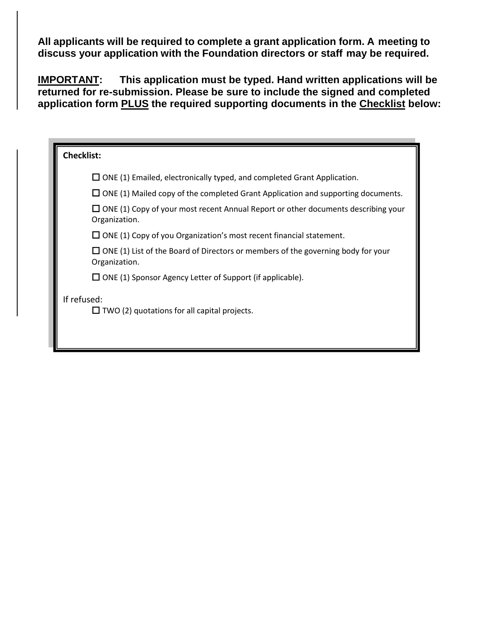**All applicants will be required to complete a grant application form. A meeting to discuss your application with the Foundation directors or staff may be required.**

**IMPORTANT: This application must be typed. Hand written applications will be returned for re-submission. Please be sure to include the signed and completed application form PLUS the required supporting documents in the Checklist below:**

| Checklist: |                                                                                                           |
|------------|-----------------------------------------------------------------------------------------------------------|
|            | $\Box$ ONE (1) Emailed, electronically typed, and completed Grant Application.                            |
|            | $\Box$ ONE (1) Mailed copy of the completed Grant Application and supporting documents.                   |
|            | $\Box$ ONE (1) Copy of your most recent Annual Report or other documents describing your<br>Organization. |
|            | $\Box$ ONE (1) Copy of you Organization's most recent financial statement.                                |
|            | $\Box$ ONE (1) List of the Board of Directors or members of the governing body for your<br>Organization.  |
|            | $\Box$ ONE (1) Sponsor Agency Letter of Support (if applicable).                                          |
|            | If refused:<br>$\Box$ TWO (2) quotations for all capital projects.                                        |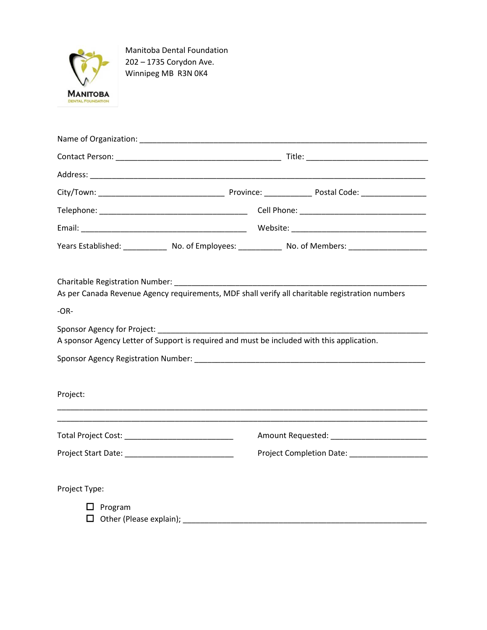

Manitoba Dental Foundation 202 – 1735 Corydon Ave. Winnipeg MB R3N 0K4

|                                                    |                                                                                            |  | Years Established: ________________ No. of Employees: _______________ No. of Members: _______________________ |  |  |
|----------------------------------------------------|--------------------------------------------------------------------------------------------|--|---------------------------------------------------------------------------------------------------------------|--|--|
|                                                    |                                                                                            |  | As per Canada Revenue Agency requirements, MDF shall verify all charitable registration numbers               |  |  |
| $-OR-$                                             |                                                                                            |  |                                                                                                               |  |  |
|                                                    | A sponsor Agency Letter of Support is required and must be included with this application. |  |                                                                                                               |  |  |
|                                                    |                                                                                            |  |                                                                                                               |  |  |
| Project:                                           |                                                                                            |  |                                                                                                               |  |  |
| Total Project Cost: ______________________________ |                                                                                            |  | Amount Requested: ____________________________                                                                |  |  |
|                                                    |                                                                                            |  |                                                                                                               |  |  |
| Project Type:                                      |                                                                                            |  |                                                                                                               |  |  |
| $\Box$ Program                                     |                                                                                            |  |                                                                                                               |  |  |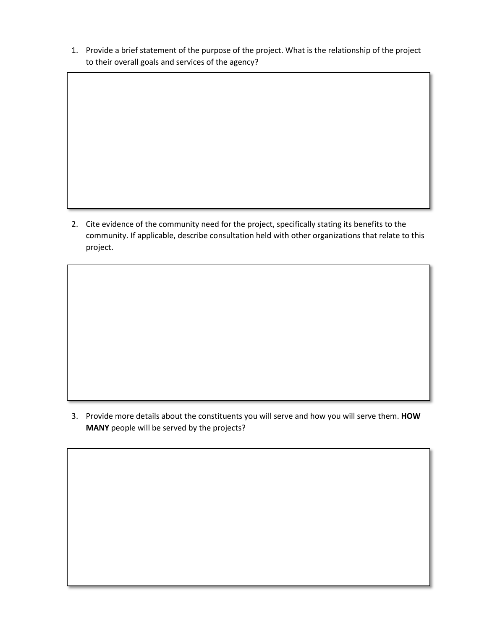1. Provide a brief statement of the purpose of the project. What is the relationship of the project to their overall goals and services of the agency?

2. Cite evidence of the community need for the project, specifically stating its benefits to the community. If applicable, describe consultation held with other organizations that relate to this project.

3. Provide more details about the constituents you will serve and how you will serve them. **HOW MANY** people will be served by the projects?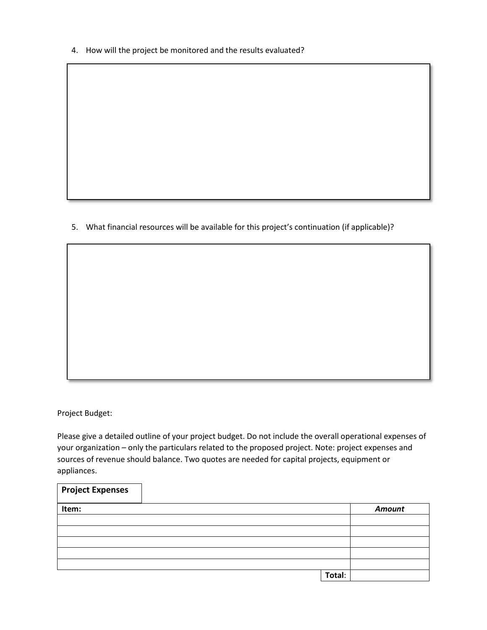4. How will the project be monitored and the results evaluated?

5. What financial resources will be available for this project's continuation (if applicable)?

Project Budget:

Please give a detailed outline of your project budget. Do not include the overall operational expenses of your organization – only the particulars related to the proposed project. Note: project expenses and sources of revenue should balance. Two quotes are needed for capital projects, equipment or appliances.

| <b>Project Expenses</b> |        |               |
|-------------------------|--------|---------------|
| Item:                   |        | <b>Amount</b> |
|                         |        |               |
|                         |        |               |
|                         |        |               |
|                         |        |               |
|                         |        |               |
|                         | Total: |               |